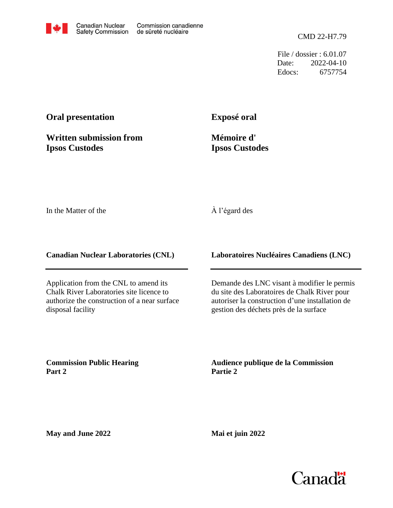File / dossier : 6.01.07 Date: 2022-04-10 Edocs: 6757754

## **Oral presentation**

**Written submission from Ipsos Custodes**

**Exposé oral**

**Ipsos Custodes Mémoire d'**

In the Matter of the

## À l'égard des

**Canadian Nuclear Laboratories (CNL)**

Application from the CNL to amend its Chalk River Laboratories site licence to authorize the construction of a near surface disposal facility

**Laboratoires Nucléaires Canadiens (LNC)**

Demande des LNC visant à modifier le permis du site des Laboratoires de Chalk River pour autoriser la construction d'une installation de gestion des déchets près de la surface

**Commission Public Hearing Part 2**

**Audience publique de la Commission Partie 2**

**May and June 2022**

**Mai et juin 2022**

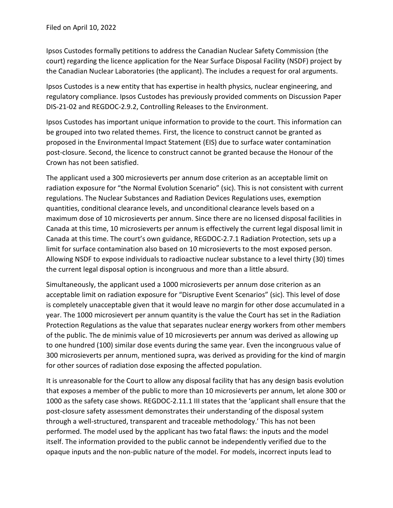Ipsos Custodes formally petitions to address the Canadian Nuclear Safety Commission (the court) regarding the licence application for the Near Surface Disposal Facility (NSDF) project by the Canadian Nuclear Laboratories (the applicant). The includes a request for oral arguments.

Ipsos Custodes is a new entity that has expertise in health physics, nuclear engineering, and regulatory compliance. Ipsos Custodes has previously provided comments on Discussion Paper DIS-21-02 and REGDOC-2.9.2, Controlling Releases to the Environment.

Ipsos Custodes has important unique information to provide to the court. This information can be grouped into two related themes. First, the licence to construct cannot be granted as proposed in the Environmental Impact Statement (EIS) due to surface water contamination post-closure. Second, the licence to construct cannot be granted because the Honour of the Crown has not been satisfied.

The applicant used a 300 microsieverts per annum dose criterion as an acceptable limit on radiation exposure for "the Normal Evolution Scenario" (sic). This is not consistent with current regulations. The Nuclear Substances and Radiation Devices Regulations uses, exemption quantities, conditional clearance levels, and unconditional clearance levels based on a maximum dose of 10 microsieverts per annum. Since there are no licensed disposal facilities in Canada at this time, 10 microsieverts per annum is effectively the current legal disposal limit in Canada at this time. The court's own guidance, REGDOC-2.7.1 Radiation Protection, sets up a limit for surface contamination also based on 10 microsieverts to the most exposed person. Allowing NSDF to expose individuals to radioactive nuclear substance to a level thirty (30) times the current legal disposal option is incongruous and more than a little absurd.

Simultaneously, the applicant used a 1000 microsieverts per annum dose criterion as an acceptable limit on radiation exposure for "Disruptive Event Scenarios" (sic). This level of dose is completely unacceptable given that it would leave no margin for other dose accumulated in a year. The 1000 microsievert per annum quantity is the value the Court has set in the Radiation Protection Regulations as the value that separates nuclear energy workers from other members of the public. The de minimis value of 10 microsieverts per annum was derived as allowing up to one hundred (100) similar dose events during the same year. Even the incongruous value of 300 microsieverts per annum, mentioned supra, was derived as providing for the kind of margin for other sources of radiation dose exposing the affected population.

It is unreasonable for the Court to allow any disposal facility that has any design basis evolution that exposes a member of the public to more than 10 microsieverts per annum, let alone 300 or 1000 as the safety case shows. REGDOC-2.11.1 III states that the 'applicant shall ensure that the post-closure safety assessment demonstrates their understanding of the disposal system through a well-structured, transparent and traceable methodology.' This has not been performed. The model used by the applicant has two fatal flaws: the inputs and the model itself. The information provided to the public cannot be independently verified due to the opaque inputs and the non-public nature of the model. For models, incorrect inputs lead to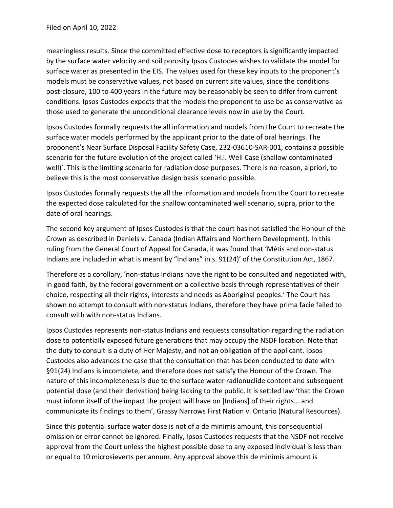meaningless results. Since the committed effective dose to receptors is significantly impacted by the surface water velocity and soil porosity Ipsos Custodes wishes to validate the model for surface water as presented in the EIS. The values used for these key inputs to the proponent's models must be conservative values, not based on current site values, since the conditions post-closure, 100 to 400 years in the future may be reasonably be seen to differ from current conditions. Ipsos Custodes expects that the models the proponent to use be as conservative as those used to generate the unconditional clearance levels now in use by the Court.

Ipsos Custodes formally requests the all information and models from the Court to recreate the surface water models performed by the applicant prior to the date of oral hearings. The proponent's Near Surface Disposal Facility Safety Case, 232-03610-SAR-001, contains a possible scenario for the future evolution of the project called 'H.I. Well Case (shallow contaminated well)'. This is the limiting scenario for radiation dose purposes. There is no reason, a priori, to believe this is the most conservative design basis scenario possible.

Ipsos Custodes formally requests the all the information and models from the Court to recreate the expected dose calculated for the shallow contaminated well scenario, supra, prior to the date of oral hearings.

The second key argument of Ipsos Custodes is that the court has not satisfied the Honour of the Crown as described in Daniels v. Canada (Indian Affairs and Northern Development). In this ruling from the General Court of Appeal for Canada, it was found that 'Métis and non-status Indians are included in what is meant by "Indians" in s. 91(24)' of the Constitution Act, 1867.

Therefore as a corollary, 'non-status Indians have the right to be consulted and negotiated with, in good faith, by the federal government on a collective basis through representatives of their choice, respecting all their rights, interests and needs as Aboriginal peoples.' The Court has shown no attempt to consult with non-status Indians, therefore they have prima facie failed to consult with with non-status Indians.

Ipsos Custodes represents non-status Indians and requests consultation regarding the radiation dose to potentially exposed future generations that may occupy the NSDF location. Note that the duty to consult is a duty of Her Majesty, and not an obligation of the applicant. Ipsos Custodes also advances the case that the consultation that has been conducted to date with §91(24) Indians is incomplete, and therefore does not satisfy the Honour of the Crown. The nature of this incompleteness is due to the surface water radionuclide content and subsequent potential dose (and their derivation) being lacking to the public. It is settled law 'that the Crown must inform itself of the impact the project will have on [Indians] of their rights... and communicate its findings to them', Grassy Narrows First Nation v. Ontario (Natural Resources).

Since this potential surface water dose is not of a de minimis amount, this consequential omission or error cannot be ignored. Finally, Ipsos Custodes requests that the NSDF not receive approval from the Court unless the highest possible dose to any exposed individual is less than or equal to 10 microsieverts per annum. Any approval above this de minimis amount is